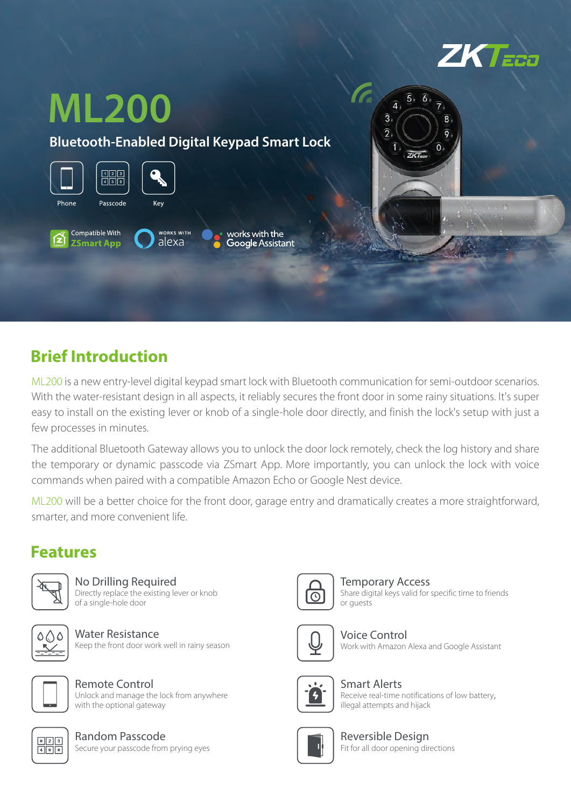



#### **Brief Introduction**

ML200 is a new entry-level digital keypad smart lock with Bluetooth communication for semi-outdoor scenarios. With the water-resistant design in all aspects, it reliably secures the front door in some rainy situations. It's super easy to install on the existing lever or knob of a single-hole door directly, and finish the lock's setup with just a few processes in minutes.

The additional Bluetooth Gateway allows you to unlock the door lock remotely, check the log history and share the temporary or dynamic passcode via ZSmart App. More importantly, you can unlock the lock with voice commands when paired with a compatible Amazon Echo or Google Nest device.

ML200 will be a better choice for the front door, garage entry and dramatically creates a more straightforward, smarter, and more convenient life.

#### **Features**



No Drilling Required Directly replace the existing lever or knob of a single-hole door

Water Resistance Keep the front door work well in rainy season



Remote Control Unlock and manage the lock from anywhere with the optional gateway



Random Passcode Secure your passcode from prying eyes



Temporary Access Share digital keys valid for specific time to friends or guests



Voice Control Work with Amazon Alexa and Google Assistant



Smart Alerts Receive real-time notifications of low battery, illegal attempts and hijack



Reversible Design Fit for all door opening directions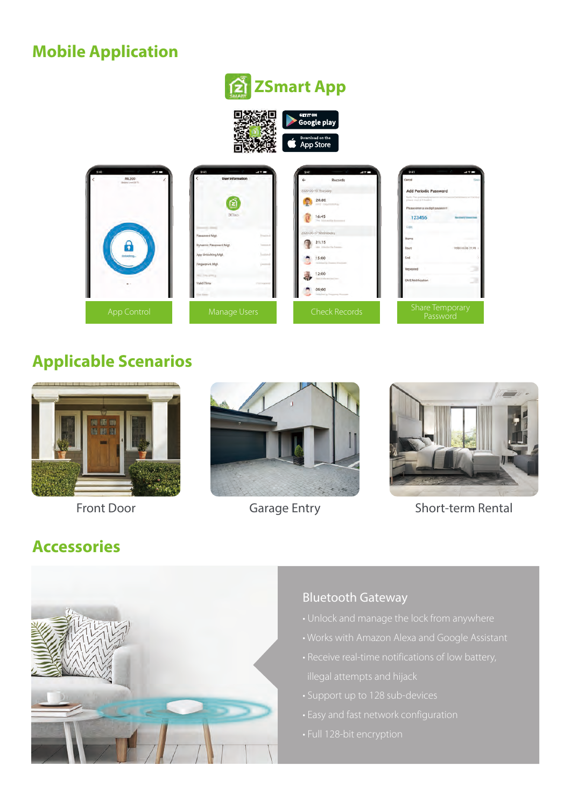### **Mobile Application**

# **ZSmart App**



**App Store** 

| $-17-$<br>9.41<br>ML200<br><b>Belley Lewiston No.</b><br><b>United</b> oral | 9:41<br>$-17-$<br><b>User Information</b><br>臼<br><b>DKTisso-</b><br>Password Mot<br><b>Track of</b><br>Dynamic Password Mgt.<br>$-11$<br>App Unfocking Mgt.<br><b>Suntainal</b><br>Fingerprint Mgt.<br><b>Creating</b><br><b>WELL-TONG STREET</b><br>Valid Time<br><b>STATISTICS</b> | 9:41<br>$-17-$<br>Records<br>2020-06-18 Thursday.<br>20:00<br><b>CONTRACTOR</b><br>16:45<br>The Internation Community<br>2020-06-17 Wednissday<br>21:15<br>Also Instituted by Frances<br>15:00<br>Institutional Eq. Commercial Constitution<br>12:00<br>and a d'indicate direct à particulares<br>09:00<br>inizial is Freeman Rooms | and the Contract of<br>9:41<br>$-49$<br>Cincil<br><b>Add Periodic Password</b><br><b><i>Diens may a 11 hours a</i></b><br>Please enter a likedigit passworn<br>123456<br><b>My offered y come</b><br>Name<br>2020-10-26 11:09<br>Start<br>End<br>Repeated<br><b>SMS Notification</b> |
|-----------------------------------------------------------------------------|---------------------------------------------------------------------------------------------------------------------------------------------------------------------------------------------------------------------------------------------------------------------------------------|-------------------------------------------------------------------------------------------------------------------------------------------------------------------------------------------------------------------------------------------------------------------------------------------------------------------------------------|--------------------------------------------------------------------------------------------------------------------------------------------------------------------------------------------------------------------------------------------------------------------------------------|
| App Control                                                                 | Manage Users                                                                                                                                                                                                                                                                          | <b>Check Records</b>                                                                                                                                                                                                                                                                                                                | Share Temporary<br>Password                                                                                                                                                                                                                                                          |

#### **Applicable Scenarios**







Front Door **Garage Entry** Short-term Rental

### **Accessories**



#### Bluetooth Gateway

- 
- 
- 
- 
- 
-